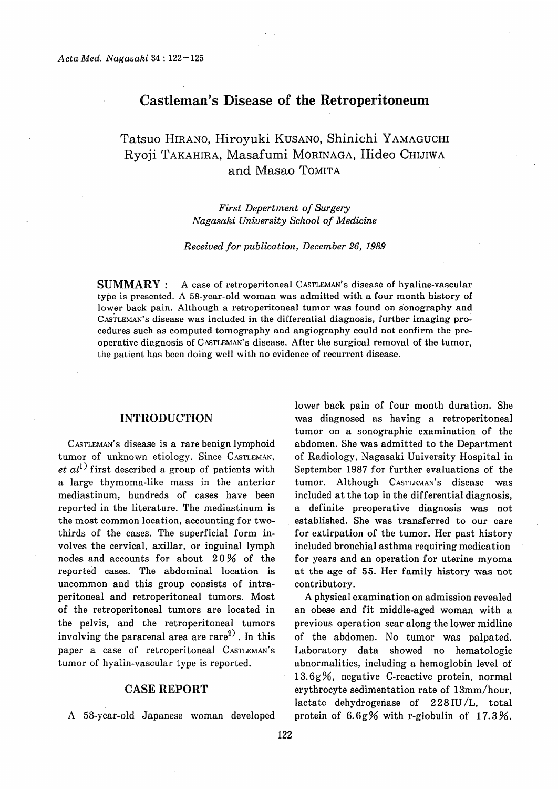## Castleman's Disease of the Retroperitoneum

# Tatsuo HIRANO, Hiroyuki KUSANO, Shinichi YAMAGUCHI Ryoji TAKAHIRA, Masafumi MORINAGA, Hideo Chijiwa and Masao TOMITA

 First Depertment of Surgery Nagasaki University School of Medicine

#### Received for publication, December 26, 1989

SUMMARY : A case of retroperitoneal CASTLEMAN's disease of hyaline-vascular type is presented. A 58-year-old woman was admitted with a four month history of lower back pain. Although a retroperitoneal tumor was found on sonography and CASTLEMAN's disease was included in the differential diagnosis, further imaging procedures such as computed tomography and angiography could not confirm the preoperative diagnosis of CASTLEMAN's disease. After the surgical removal of the tumor, the patient has been doing well with no evidence of recurrent disease.

### INTRODUCTION

CASTLEMAN'S disease is a rare benign lymphoid tumor of unknown etiology. Since CASTLEMAN, et  $al^{1)}$  first described a group of patients with a large thymoma-like mass in the anterior mediastinum, hundreds of cases have been reported in the literature. The mediastinum is the most common location, accounting for twothirds of the cases. The superficial form involves the cervical, axillar, or inguinal lymph nodes and accounts for about 20% of the reported cases. The abdominal location is uncommon and this group consists of intraperitoneal and retroperitoneal tumors. Most of the retroperitoneal tumors are located in the pelvis, and the retroperitoneal tumors involving the pararenal area are rare $^{2)}$ . In this paper a case of retroperitoneal CASTLEMAN's tumor of hyalin-vascular type is reported.

### CASE REPORT

A 58-year-old Japanese woman developed

lower back pain of four month duration. She was diagnosed as having a retroperitoneal tumor on a sonographic examination of the abdomen. She was admitted to the Department of Radiology, Nagasaki University Hospital in September 1987 for further evaluations of the tumor. Although CASTLEMAN'S disease was included at the top in the differential diagnosis, a definite preoperative diagnosis was not established. She was transferred to our care for extirpation of the tumor. Her past history included bronchial asthma requiring medication for years and an operation for uterine myoma at the age of 55. Her family history was not contributory.

A physical examination on admission revealed an obese and fit middle-aged woman with a previous operation scar along the lower midline of the abdomen. No tumor was palpated. Laboratory data showed no hematologic abnormalities, including a hemoglobin level of 13.6g%, negative C-reactive protein, normal erythrocyte sedimentation rate of 13mm/hour, lactate dehydrogenase of  $228 \text{ IU/L}$ , total protein of 6.6g% with r-globulin of 17.3%.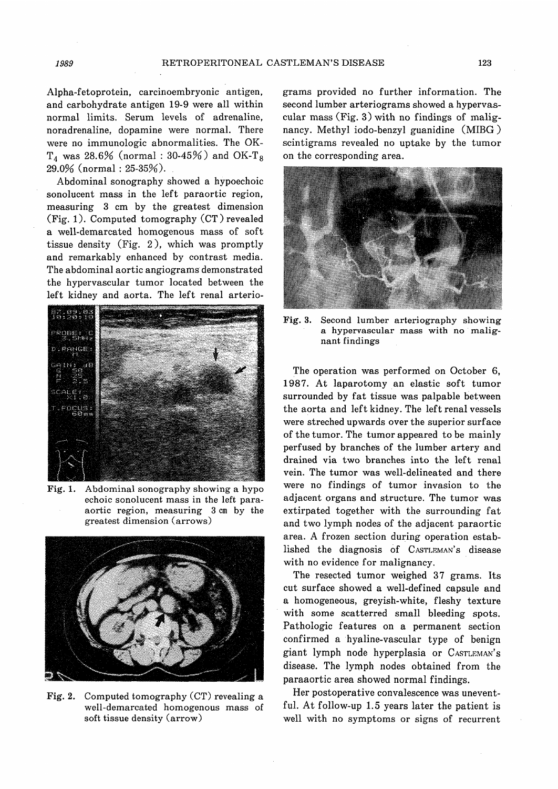Alpha-fetoprotein, carcinoembryonic antigen, and carbohydrate antigen 19-9 were all within normal limits. Serum levels of adrenaline, noradrenaline, dopamine were normal. There were no immunologic abnormalities. The OK- $T_4$  was 28.6% (normal : 30-45%) and OK-T<sub>8</sub> 29.0% (normal : 25-35%). .

Abdominal sonography showed a hypoechoic sonolucent mass in the left paraortic region, measuring 3 cm by the greatest dimension (Fig. 1). Computed tomography (CT) revealed a well-demarcated homogenous mass of soft tissue density (Fig. 2), which was promptly and remarkably enhanced by contrast media. The abdominal aortic angiograms demonstrated the hypervascular tumor located between the left kidney and aorta. The left renal arterio-



Fig. 1. Abdominal sonography showing a hypo echoic sonolucent mass in the left paraaortic region, measuring 3 cm by the greatest dimension (arrows)



Fig. 2. Computed tomography (CT) revealing a well-demarcated homogenous mass of soft tissue density (arrow)

grams provided no further information. The second lumber arteriograms showed a hypervascular mass (Fig. 3) with no findings of malignancy. Methyl iodo-benzyl guanidine (MIBG ) scintigrams revealed no uptake by the tumor on the corresponding area.



Fig. 3. Second lumber arteriography showing a hypervascular mass with no malignant findings

The operation was performed on October 6, 1987. At laparotomy an elastic soft tumor surrounded by fat tissue was palpable between the aorta and left kidney. The left renal vessels were streched upwards over the superior surface of the tumor. The tumor appeared to be mainly perfused by branches of the lumber artery and drained via two branches into the left renal vein. The tumor was well-delineated and there were no findings of tumor invasion to the adjacent organs and structure. The tumor was extirpated together with the surrounding fat and two lymph nodes of the adjacent paraortic area. A frozen section during operation established the diagnosis of CASTLEMAN's disease with no evidence for malignancy.

The resected tumor weighed 37 grams. Its cut surface showed a well-defined capsule and a homogeneous, greyish-white, fleshy texture with some scatterred small bleeding spots. Pathologic features on a permanent section confirmed a hyaline-vascular type of benign giant lymph node hyperplasia or CASTLEMAN'S disease. The lymph nodes obtained from the paraaortic area showed normal findings.

Her postoperative convalescence was uneventful. At follow-up 1.5 years later the patient is well with no symptoms or signs of recurrent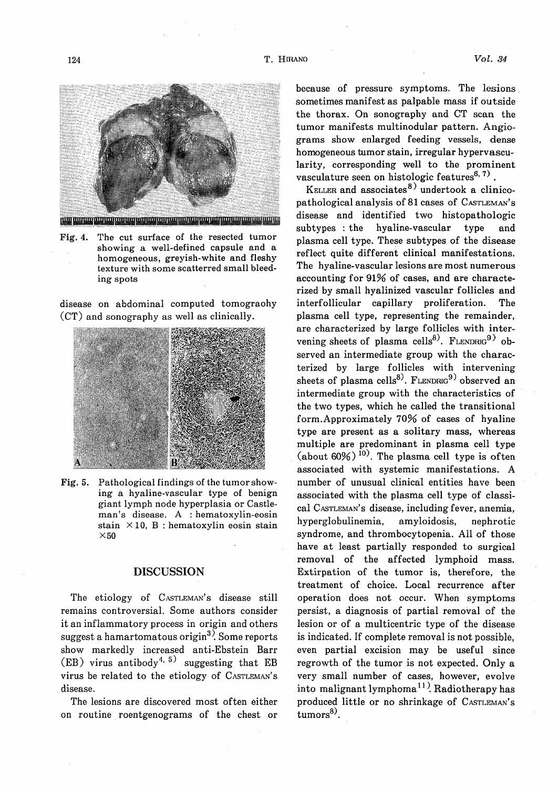

Fig. 4. The cut surface of the resected tumor showing a well-defined capsule and a homogeneous, greyish-white and fleshy texture with some scatterred small bleeding spots

disease on abdominal computed tomograohy (CT) and sonography as well as clinically.



Fig. 5. Pathological findings of the tumor showing a hyaline-vascular type of benign giant lymph node hyperplasia or Castleman's disease. A : hematoxylin-eosin stain  $\times$ 10, B : hematoxylin eosin stain  $\times$  50

## DISCUSSION

The etiology of CASTLEMAN'S disease still remains controversial. Some authors consider it an inflammatory process in origin and others suggest a hamartomatous origin<sup>3</sup>. Some reports show markedly increased anti-Ebstein Barr  $(EB)$  virus antibody<sup>4, 5)</sup> suggesting that EB virus be related to the etiology of CASTLEMAN's disease.

The lesions are discovered most often either on routine roentgenograms of the chest or because of pressure symptoms. The lesions. sometimes manifest as palpable mass if outside the thorax. On sonography and CT scan the tumor manifests multinodular pattern. Angiograms show enlarged feeding vessels, dense homogeneous tumor stain, irregular hypervascu= larity, corresponding well to the prominent vasculature seen on histologic features<sup>6, 7)</sup>.

KELLER and associates<sup>8)</sup> undertook a clinicopathological analysis of 81 cases of CASTLEMAN's disease and identified two histopathologic subtypes : the hyaline-vascular type and plasma cell type. These subtypes of the disease reflect quite different clinical manifestations. The hyaline-vascular lesions are most numerous accounting for 91% of cases, and are characterized by small hyalinized vascular follicles and interfollicular capillary proliferation. The plasma cell type, representing the remainder, are characterized by large follicles with intervening sheets of plasma cells<sup>8)</sup>. FLENDRIG<sup>9)</sup> observed an intermediate group with the characterized by large follicles with intervening sheets of plasma cells<sup>8)</sup>. FLENDRIG<sup>9)</sup> observed an intermediate group with the characteristics of the two types, which he called the transitional form. Approximately 70% of cases of hyaline type are present as a solitary mass, whereas multiple are predominant in plasma cell type (about  $60\%$ )<sup>10)</sup>. The plasma cell type is often associated with systemic manifestations. A number of unusual clinical entities have been associated with the plasma cell type of classical CASTLEMAN'S disease, including fever, anemia, hyperglobulinemia, amyloidosis, nephrotic syndrome, and thrombocytopenia. All of those have at least partially responded to surgical removal of the affected lymphoid mass. Extirpation of the tumor is, therefore, the treatment of choice. Local recurrence after operation does not occur. When symptoms persist, a diagnosis of partial removal of the lesion or of a multicentric type of the disease is indicated. If complete removal is not possible, even partial excision may be useful since regrowth of the tumor is not expected. Only a very small number of cases, however, evolve into malignant lymphoma<sup>11</sup>. Radiotherapy has produced little or no shrinkage of  $\text{Castileman's}$  $\text{tumors}^{8}$ .